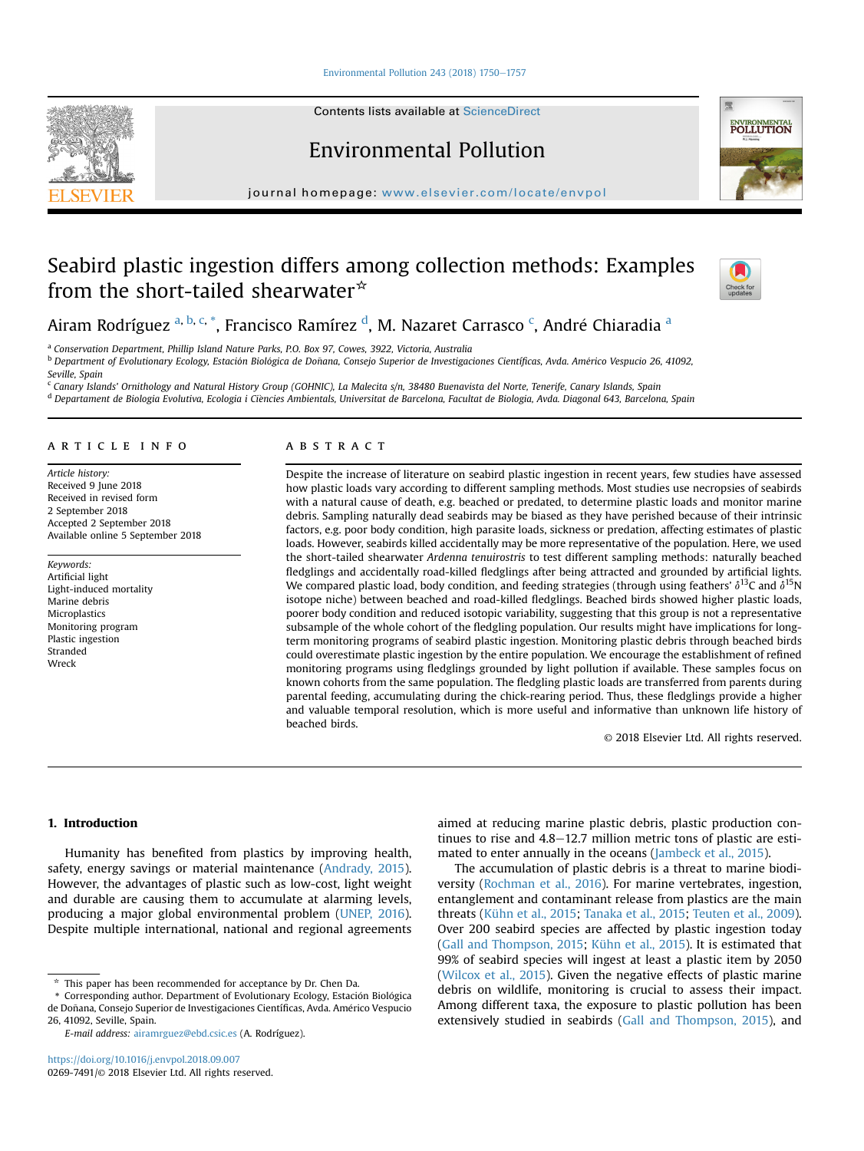Environmental Pollution 243 (2018)  $1750-1757$  $1750-1757$ 

Contents lists available at ScienceDirect

Environmental Pollution

journal homepage: [www.elsevier.com/locate/envpol](http://www.elsevier.com/locate/envpol)

# Seabird plastic ingestion differs among collection methods: Examples from the short-tailed shearwater\*



POLLUTION

Airam Rodríguez <sup>a, b, c, \*</sup>, Francisco Ramírez <sup>d</sup>, M. Nazaret Carrasco <sup>c</sup>, André Chiaradia <sup>a</sup>

<sup>a</sup> Conservation Department, Phillip Island Nature Parks, P.O. Box 97, Cowes, 3922, Victoria, Australia <sup>b</sup> Department of Evolutionary Ecology, Estación Biológica de Doñana, Consejo Superior de Investigaciones Científicas, Avda. Américo Vespucio 26, 41092, Seville, Spain

<sup>c</sup> Canary Islands' Ornithology and Natural History Group (GOHNIC), La Malecita s/n, 38480 Buenavista del Norte, Tenerife, Canary Islands, Spain

<sup>d</sup> Departament de Biologia Evolutiva, Ecologia i Ciències Ambientals, Universitat de Barcelona, Facultat de Biologia, Avda. Diagonal 643, Barcelona, Spain

## article info

Article history: Received 9 June 2018 Received in revised form 2 September 2018 Accepted 2 September 2018 Available online 5 September 2018

Keywords: Artificial light Light-induced mortality Marine debris Microplastics Monitoring program Plastic ingestion **Stranded** Wreck

# **ABSTRACT**

Despite the increase of literature on seabird plastic ingestion in recent years, few studies have assessed how plastic loads vary according to different sampling methods. Most studies use necropsies of seabirds with a natural cause of death, e.g. beached or predated, to determine plastic loads and monitor marine debris. Sampling naturally dead seabirds may be biased as they have perished because of their intrinsic factors, e.g. poor body condition, high parasite loads, sickness or predation, affecting estimates of plastic loads. However, seabirds killed accidentally may be more representative of the population. Here, we used the short-tailed shearwater Ardenna tenuirostris to test different sampling methods: naturally beached fledglings and accidentally road-killed fledglings after being attracted and grounded by artificial lights. We compared plastic load, body condition, and feeding strategies (through using feathers'  $\delta^{13}C$  and  $\delta^{15}N$ isotope niche) between beached and road-killed fledglings. Beached birds showed higher plastic loads, poorer body condition and reduced isotopic variability, suggesting that this group is not a representative subsample of the whole cohort of the fledgling population. Our results might have implications for longterm monitoring programs of seabird plastic ingestion. Monitoring plastic debris through beached birds could overestimate plastic ingestion by the entire population. We encourage the establishment of refined monitoring programs using fledglings grounded by light pollution if available. These samples focus on known cohorts from the same population. The fledgling plastic loads are transferred from parents during parental feeding, accumulating during the chick-rearing period. Thus, these fledglings provide a higher and valuable temporal resolution, which is more useful and informative than unknown life history of beached birds.

© 2018 Elsevier Ltd. All rights reserved.

# 1. Introduction

Humanity has benefited from plastics by improving health, safety, energy savings or material maintenance [\(Andrady, 2015\)](#page-6-0). However, the advantages of plastic such as low-cost, light weight and durable are causing them to accumulate at alarming levels, producing a major global environmental problem [\(UNEP, 2016\)](#page-6-0). Despite multiple international, national and regional agreements

E-mail address: [airamrguez@ebd.csic.es](mailto:airamrguez@ebd.csic.es) (A. Rodríguez).

aimed at reducing marine plastic debris, plastic production continues to rise and  $4.8-12.7$  million metric tons of plastic are estimated to enter annually in the oceans ([Jambeck et al., 2015\)](#page-6-0).

The accumulation of plastic debris is a threat to marine biodiversity ([Rochman et al., 2016\)](#page-6-0). For marine vertebrates, ingestion, entanglement and contaminant release from plastics are the main threats ([Kühn et al., 2015;](#page-6-0) [Tanaka et al., 2015;](#page-6-0) [Teuten et al., 2009\)](#page-6-0). Over 200 seabird species are affected by plastic ingestion today ([Gall and Thompson, 2015](#page-6-0); [Kühn et al., 2015\)](#page-6-0). It is estimated that 99% of seabird species will ingest at least a plastic item by 2050 ([Wilcox et al., 2015](#page-7-0)). Given the negative effects of plastic marine debris on wildlife, monitoring is crucial to assess their impact. Among different taxa, the exposure to plastic pollution has been extensively studied in seabirds [\(Gall and Thompson, 2015\)](#page-6-0), and



 $*$  This paper has been recommended for acceptance by Dr. Chen Da.

<sup>\*</sup> Corresponding author. Department of Evolutionary Ecology, Estación Biológica de Doñana, Consejo Superior de Investigaciones Científicas, Avda. Américo Vespucio 26, 41092, Seville, Spain.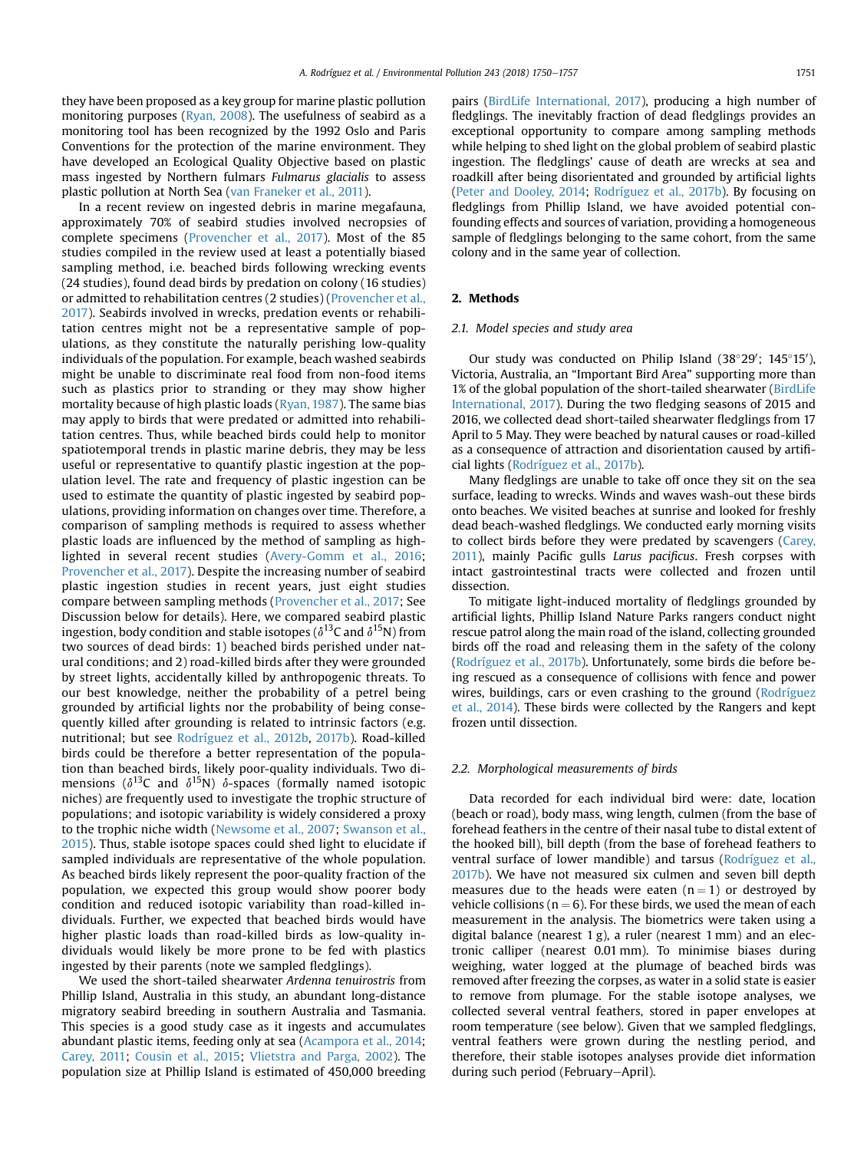they have been proposed as a key group for marine plastic pollution monitoring purposes [\(Ryan, 2008\)](#page-6-0). The usefulness of seabird as a monitoring tool has been recognized by the 1992 Oslo and Paris Conventions for the protection of the marine environment. They have developed an Ecological Quality Objective based on plastic mass ingested by Northern fulmars Fulmarus glacialis to assess plastic pollution at North Sea ([van Franeker et al., 2011\)](#page-6-0).

In a recent review on ingested debris in marine megafauna, approximately 70% of seabird studies involved necropsies of complete specimens [\(Provencher et al., 2017\)](#page-6-0). Most of the 85 studies compiled in the review used at least a potentially biased sampling method, i.e. beached birds following wrecking events (24 studies), found dead birds by predation on colony (16 studies) or admitted to rehabilitation centres (2 studies) [\(Provencher et al.,](#page-6-0) [2017\)](#page-6-0). Seabirds involved in wrecks, predation events or rehabilitation centres might not be a representative sample of populations, as they constitute the naturally perishing low-quality individuals of the population. For example, beach washed seabirds might be unable to discriminate real food from non-food items such as plastics prior to stranding or they may show higher mortality because of high plastic loads ([Ryan, 1987\)](#page-6-0). The same bias may apply to birds that were predated or admitted into rehabilitation centres. Thus, while beached birds could help to monitor spatiotemporal trends in plastic marine debris, they may be less useful or representative to quantify plastic ingestion at the population level. The rate and frequency of plastic ingestion can be used to estimate the quantity of plastic ingested by seabird populations, providing information on changes over time. Therefore, a comparison of sampling methods is required to assess whether plastic loads are influenced by the method of sampling as highlighted in several recent studies [\(Avery-Gomm et al., 2016;](#page-6-0) [Provencher et al., 2017\)](#page-6-0). Despite the increasing number of seabird plastic ingestion studies in recent years, just eight studies compare between sampling methods [\(Provencher et al., 2017;](#page-6-0) See Discussion below for details). Here, we compared seabird plastic ingestion, body condition and stable isotopes ( $\delta^{13}$ C and  $\delta^{15}$ N) from two sources of dead birds: 1) beached birds perished under natural conditions; and 2) road-killed birds after they were grounded by street lights, accidentally killed by anthropogenic threats. To our best knowledge, neither the probability of a petrel being grounded by artificial lights nor the probability of being consequently killed after grounding is related to intrinsic factors (e.g. nutritional; but see [Rodríguez et al., 2012b,](#page-6-0) [2017b](#page-6-0)). Road-killed birds could be therefore a better representation of the population than beached birds, likely poor-quality individuals. Two dimensions ( $\delta^{13}C$  and  $\delta^{15}N$ )  $\delta$ -spaces (formally named isotopic niches) are frequently used to investigate the trophic structure of populations; and isotopic variability is widely considered a proxy to the trophic niche width ([Newsome et al., 2007](#page-6-0); [Swanson et al.,](#page-6-0) [2015](#page-6-0)). Thus, stable isotope spaces could shed light to elucidate if sampled individuals are representative of the whole population. As beached birds likely represent the poor-quality fraction of the population, we expected this group would show poorer body condition and reduced isotopic variability than road-killed individuals. Further, we expected that beached birds would have higher plastic loads than road-killed birds as low-quality individuals would likely be more prone to be fed with plastics ingested by their parents (note we sampled fledglings).

We used the short-tailed shearwater Ardenna tenuirostris from Phillip Island, Australia in this study, an abundant long-distance migratory seabird breeding in southern Australia and Tasmania. This species is a good study case as it ingests and accumulates abundant plastic items, feeding only at sea [\(Acampora et al., 2014;](#page-6-0) [Carey, 2011;](#page-6-0) [Cousin et al., 2015;](#page-6-0) [Vlietstra and Parga, 2002](#page-7-0)). The population size at Phillip Island is estimated of 450,000 breeding pairs ([BirdLife International, 2017](#page-6-0)), producing a high number of fledglings. The inevitably fraction of dead fledglings provides an exceptional opportunity to compare among sampling methods while helping to shed light on the global problem of seabird plastic ingestion. The fledglings' cause of death are wrecks at sea and roadkill after being disorientated and grounded by artificial lights ([Peter and Dooley, 2014;](#page-6-0) [Rodríguez et al., 2017b\)](#page-6-0). By focusing on fledglings from Phillip Island, we have avoided potential confounding effects and sources of variation, providing a homogeneous sample of fledglings belonging to the same cohort, from the same colony and in the same year of collection.

#### 2. Methods

#### 2.1. Model species and study area

Our study was conducted on Philip Island  $(38°29')$ ; 145°15′), Victoria, Australia, an "Important Bird Area" supporting more than 1% of the global population of the short-tailed shearwater ([BirdLife](#page-6-0) [International, 2017](#page-6-0)). During the two fledging seasons of 2015 and 2016, we collected dead short-tailed shearwater fledglings from 17 April to 5 May. They were beached by natural causes or road-killed as a consequence of attraction and disorientation caused by artificial lights [\(Rodríguez et al., 2017b](#page-6-0)).

Many fledglings are unable to take off once they sit on the sea surface, leading to wrecks. Winds and waves wash-out these birds onto beaches. We visited beaches at sunrise and looked for freshly dead beach-washed fledglings. We conducted early morning visits to collect birds before they were predated by scavengers ([Carey,](#page-6-0) [2011](#page-6-0)), mainly Pacific gulls Larus pacificus. Fresh corpses with intact gastrointestinal tracts were collected and frozen until dissection.

To mitigate light-induced mortality of fledglings grounded by artificial lights, Phillip Island Nature Parks rangers conduct night rescue patrol along the main road of the island, collecting grounded birds off the road and releasing them in the safety of the colony ([Rodríguez et al., 2017b\)](#page-6-0). Unfortunately, some birds die before being rescued as a consequence of collisions with fence and power wires, buildings, cars or even crashing to the ground ([Rodríguez](#page-6-0) [et al., 2014\)](#page-6-0). These birds were collected by the Rangers and kept frozen until dissection.

#### 2.2. Morphological measurements of birds

Data recorded for each individual bird were: date, location (beach or road), body mass, wing length, culmen (from the base of forehead feathers in the centre of their nasal tube to distal extent of the hooked bill), bill depth (from the base of forehead feathers to ventral surface of lower mandible) and tarsus [\(Rodríguez et al.,](#page-6-0) [2017b](#page-6-0)). We have not measured six culmen and seven bill depth measures due to the heads were eaten  $(n = 1)$  or destroyed by vehicle collisions ( $n = 6$ ). For these birds, we used the mean of each measurement in the analysis. The biometrics were taken using a digital balance (nearest 1 g), a ruler (nearest 1 mm) and an electronic calliper (nearest 0.01 mm). To minimise biases during weighing, water logged at the plumage of beached birds was removed after freezing the corpses, as water in a solid state is easier to remove from plumage. For the stable isotope analyses, we collected several ventral feathers, stored in paper envelopes at room temperature (see below). Given that we sampled fledglings, ventral feathers were grown during the nestling period, and therefore, their stable isotopes analyses provide diet information during such period (February–April).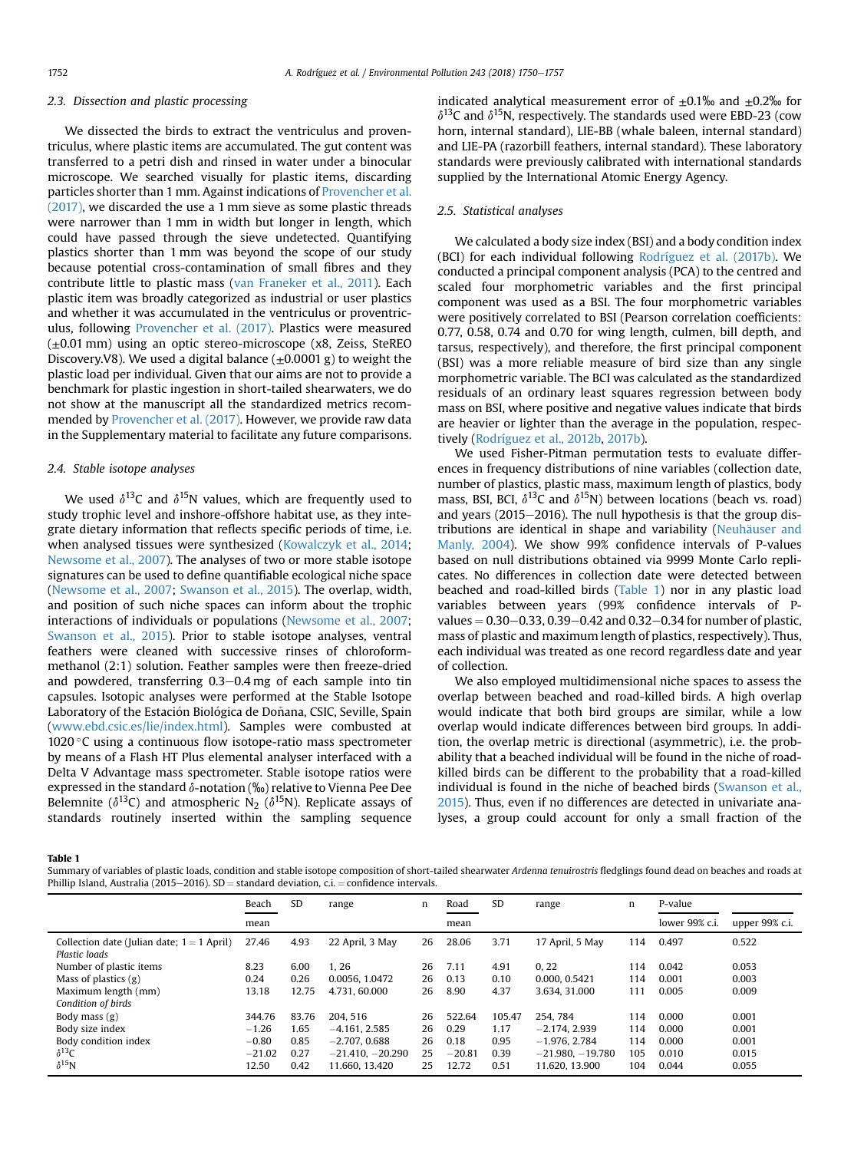#### <span id="page-2-0"></span>2.3. Dissection and plastic processing

We dissected the birds to extract the ventriculus and proventriculus, where plastic items are accumulated. The gut content was transferred to a petri dish and rinsed in water under a binocular microscope. We searched visually for plastic items, discarding particles shorter than 1 mm. Against indications of [Provencher et al.](#page-6-0) [\(2017\),](#page-6-0) we discarded the use a 1 mm sieve as some plastic threads were narrower than 1 mm in width but longer in length, which could have passed through the sieve undetected. Quantifying plastics shorter than 1 mm was beyond the scope of our study because potential cross-contamination of small fibres and they contribute little to plastic mass [\(van Franeker et al., 2011\)](#page-6-0). Each plastic item was broadly categorized as industrial or user plastics and whether it was accumulated in the ventriculus or proventriculus, following [Provencher et al. \(2017\)](#page-6-0). Plastics were measured  $(\pm 0.01$  mm) using an optic stereo-microscope (x8, Zeiss, SteREO Discovery.V8). We used a digital balance  $(\pm 0.0001 \text{ g})$  to weight the plastic load per individual. Given that our aims are not to provide a benchmark for plastic ingestion in short-tailed shearwaters, we do not show at the manuscript all the standardized metrics recommended by [Provencher et al. \(2017\)](#page-6-0). However, we provide raw data in the Supplementary material to facilitate any future comparisons.

#### 2.4. Stable isotope analyses

We used  $\delta^{13}C$  and  $\delta^{15}N$  values, which are frequently used to study trophic level and inshore-offshore habitat use, as they integrate dietary information that reflects specific periods of time, i.e. when analysed tissues were synthesized [\(Kowalczyk et al., 2014](#page-6-0); [Newsome et al., 2007](#page-6-0)). The analyses of two or more stable isotope signatures can be used to define quantifiable ecological niche space ([Newsome et al., 2007;](#page-6-0) [Swanson et al., 2015](#page-6-0)). The overlap, width, and position of such niche spaces can inform about the trophic interactions of individuals or populations ([Newsome et al., 2007](#page-6-0); [Swanson et al., 2015\)](#page-6-0). Prior to stable isotope analyses, ventral feathers were cleaned with successive rinses of chloroformmethanol (2:1) solution. Feather samples were then freeze-dried and powdered, transferring  $0.3-0.4$  mg of each sample into tin capsules. Isotopic analyses were performed at the Stable Isotope Laboratory of the Estación Biológica de Doñana, CSIC, Seville, Spain ([www.ebd.csic.es/lie/index.html\)](http://www.ebd.csic.es/lie/index.html). Samples were combusted at  $1020$  °C using a continuous flow isotope-ratio mass spectrometer by means of a Flash HT Plus elemental analyser interfaced with a Delta V Advantage mass spectrometer. Stable isotope ratios were expressed in the standard  $\delta$ -notation (‰) relative to Vienna Pee Dee Belemnite ( $\delta^{13}$ C) and atmospheric N<sub>2</sub> ( $\delta^{15}$ N). Replicate assays of standards routinely inserted within the sampling sequence indicated analytical measurement error of  $\pm 0.1$ % and  $\pm 0.2$ % for  $\delta^{13}$ C and  $\delta^{15}$ N, respectively. The standards used were EBD-23 (cow horn, internal standard), LIE-BB (whale baleen, internal standard) and LIE-PA (razorbill feathers, internal standard). These laboratory standards were previously calibrated with international standards supplied by the International Atomic Energy Agency.

## 2.5. Statistical analyses

We calculated a body size index (BSI) and a body condition index (BCI) for each individual following [Rodríguez et al. \(2017b\).](#page-6-0) We conducted a principal component analysis (PCA) to the centred and scaled four morphometric variables and the first principal component was used as a BSI. The four morphometric variables were positively correlated to BSI (Pearson correlation coefficients: 0.77, 0.58, 0.74 and 0.70 for wing length, culmen, bill depth, and tarsus, respectively), and therefore, the first principal component (BSI) was a more reliable measure of bird size than any single morphometric variable. The BCI was calculated as the standardized residuals of an ordinary least squares regression between body mass on BSI, where positive and negative values indicate that birds are heavier or lighter than the average in the population, respectively [\(Rodríguez et al., 2012b,](#page-6-0) [2017b\)](#page-6-0).

We used Fisher-Pitman permutation tests to evaluate differences in frequency distributions of nine variables (collection date, number of plastics, plastic mass, maximum length of plastics, body mass, BSI, BCI,  $\delta^{13}$ C and  $\delta^{15}$ N) between locations (beach vs. road) and years (2015 $-$ 2016). The null hypothesis is that the group distributions are identical in shape and variability (Neuhäuser and [Manly, 2004\)](#page-6-0). We show 99% confidence intervals of P-values based on null distributions obtained via 9999 Monte Carlo replicates. No differences in collection date were detected between beached and road-killed birds (Table 1) nor in any plastic load variables between years (99% confidence intervals of Pvalues =  $0.30 - 0.33$ ,  $0.39 - 0.42$  and  $0.32 - 0.34$  for number of plastic, mass of plastic and maximum length of plastics, respectively). Thus, each individual was treated as one record regardless date and year of collection.

We also employed multidimensional niche spaces to assess the overlap between beached and road-killed birds. A high overlap would indicate that both bird groups are similar, while a low overlap would indicate differences between bird groups. In addition, the overlap metric is directional (asymmetric), i.e. the probability that a beached individual will be found in the niche of roadkilled birds can be different to the probability that a road-killed individual is found in the niche of beached birds [\(Swanson et al.,](#page-6-0) [2015\)](#page-6-0). Thus, even if no differences are detected in univariate analyses, a group could account for only a small fraction of the

Table 1

Summary of variables of plastic loads, condition and stable isotope composition of short-tailed shearwater Ardenna tenuirostris fledglings found dead on beaches and roads at Phillip Island, Australia (2015–2016). SD = standard deviation, c.i. = confidence intervals.

|                                                               | Beach                        | <b>SD</b>            | range                                                   | n              | Road                      | <b>SD</b>            | range                                                   | n                 | P-value                 |                         |
|---------------------------------------------------------------|------------------------------|----------------------|---------------------------------------------------------|----------------|---------------------------|----------------------|---------------------------------------------------------|-------------------|-------------------------|-------------------------|
|                                                               | mean                         |                      |                                                         |                | mean                      |                      |                                                         |                   | lower 99% c.i.          | upper 99% c.i.          |
| Collection date (Julian date; $1 = 1$ April)<br>Plastic loads | 27.46                        | 4.93                 | 22 April, 3 May                                         | 26             | 28.06                     | 3.71                 | 17 April, 5 May                                         | 114               | 0.497                   | 0.522                   |
| Number of plastic items                                       | 8.23                         | 6.00                 | 1.26                                                    | 26             | 7.11                      | 4.91                 | 0, 22                                                   | 114               | 0.042                   | 0.053                   |
| Mass of plastics $(g)$                                        | 0.24                         | 0.26                 | 0.0056, 1.0472                                          | 26             | 0.13                      | 0.10                 | 0.000, 0.5421                                           | 114               | 0.001                   | 0.003                   |
| Maximum length (mm)<br>Condition of birds                     | 13.18                        | 12.75                | 4.731, 60.000                                           | 26             | 8.90                      | 4.37                 | 3.634, 31.000                                           | 111               | 0.005                   | 0.009                   |
| Body mass $(g)$                                               | 344.76                       | 83.76                | 204.516                                                 | 26             | 522.64                    | 105.47               | 254, 784                                                | 114               | 0.000                   | 0.001                   |
| Body size index                                               | $-1.26$                      | 1.65                 | $-4.161, 2.585$                                         | 26             | 0.29                      | 1.17                 | $-2.174$ , 2.939                                        | 114               | 0.000                   | 0.001                   |
| Body condition index<br>$\delta^{13}C$<br>$\delta^{15}N$      | $-0.80$<br>$-21.02$<br>12.50 | 0.85<br>0.27<br>0.42 | $-2.707, 0.688$<br>$-21,410, -20,290$<br>11.660, 13.420 | 26<br>25<br>25 | 0.18<br>$-20.81$<br>12.72 | 0.95<br>0.39<br>0.51 | $-1.976, 2.784$<br>$-21,980, -19,780$<br>11.620, 13.900 | 114<br>105<br>104 | 0.000<br>0.010<br>0.044 | 0.001<br>0.015<br>0.055 |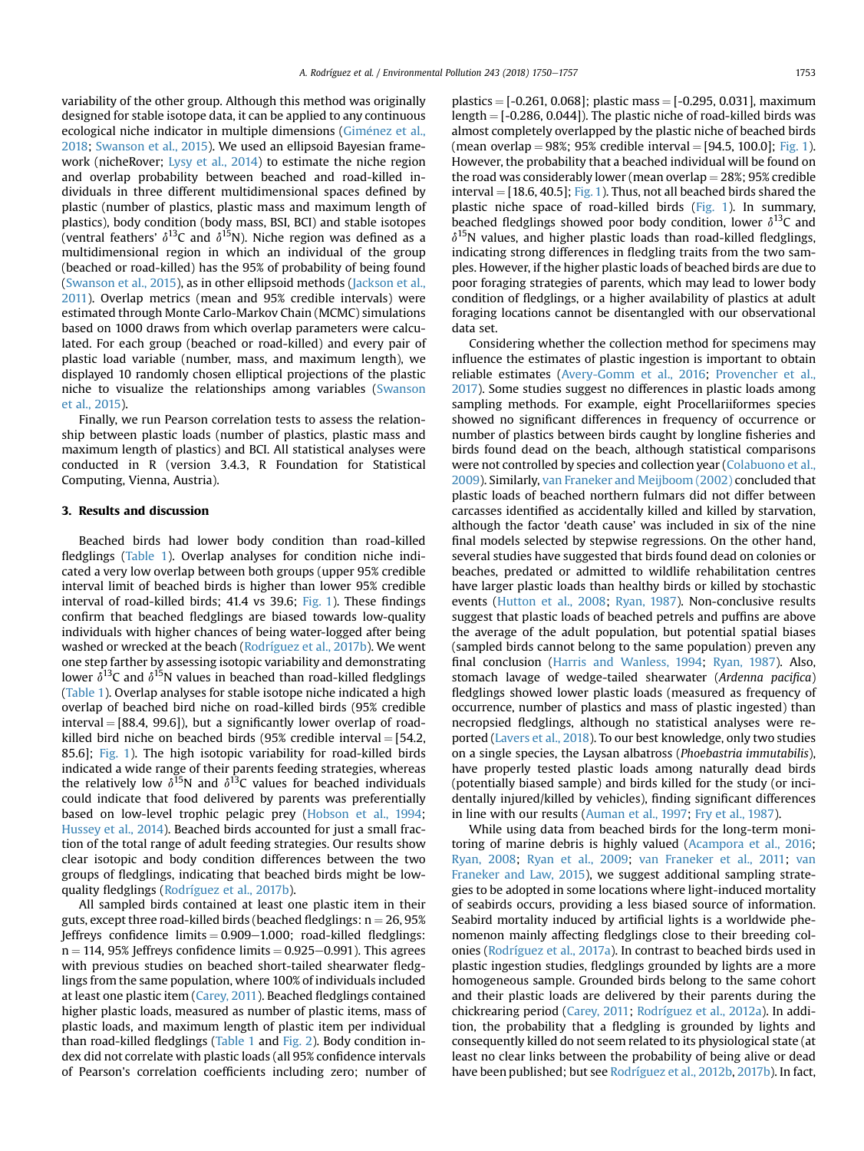variability of the other group. Although this method was originally designed for stable isotope data, it can be applied to any continuous ecological niche indicator in multiple dimensions (Giménez et al., [2018;](#page-6-0) [Swanson et al., 2015](#page-6-0)). We used an ellipsoid Bayesian framework (nicheRover; [Lysy et al., 2014\)](#page-6-0) to estimate the niche region and overlap probability between beached and road-killed individuals in three different multidimensional spaces defined by plastic (number of plastics, plastic mass and maximum length of plastics), body condition (body mass, BSI, BCI) and stable isotopes (ventral feathers'  $\delta^{13}C$  and  $\delta^{15}N$ ). Niche region was defined as a multidimensional region in which an individual of the group (beached or road-killed) has the 95% of probability of being found ([Swanson et al., 2015\)](#page-6-0), as in other ellipsoid methods [\(Jackson et al.,](#page-6-0) [2011](#page-6-0)). Overlap metrics (mean and 95% credible intervals) were estimated through Monte Carlo-Markov Chain (MCMC) simulations based on 1000 draws from which overlap parameters were calculated. For each group (beached or road-killed) and every pair of plastic load variable (number, mass, and maximum length), we displayed 10 randomly chosen elliptical projections of the plastic niche to visualize the relationships among variables ([Swanson](#page-6-0) [et al., 2015](#page-6-0)).

Finally, we run Pearson correlation tests to assess the relationship between plastic loads (number of plastics, plastic mass and maximum length of plastics) and BCI. All statistical analyses were conducted in R (version 3.4.3, R Foundation for Statistical Computing, Vienna, Austria).

## 3. Results and discussion

Beached birds had lower body condition than road-killed fledglings ([Table 1\)](#page-2-0). Overlap analyses for condition niche indicated a very low overlap between both groups (upper 95% credible interval limit of beached birds is higher than lower 95% credible interval of road-killed birds; 41.4 vs 39.6; [Fig. 1](#page-4-0)). These findings confirm that beached fledglings are biased towards low-quality individuals with higher chances of being water-logged after being washed or wrecked at the beach [\(Rodríguez et al., 2017b\)](#page-6-0). We went one step farther by assessing isotopic variability and demonstrating lower  $\delta^{13}$ C and  $\delta^{15}$ N values in beached than road-killed fledglings ([Table 1](#page-2-0)). Overlap analyses for stable isotope niche indicated a high overlap of beached bird niche on road-killed birds (95% credible  $interval = [88.4, 99.6]$ , but a significantly lower overlap of roadkilled bird niche on beached birds (95% credible interval  $=$  [54.2, 85.6]; [Fig. 1\)](#page-4-0). The high isotopic variability for road-killed birds indicated a wide range of their parents feeding strategies, whereas the relatively low  $\delta^{15}N$  and  $\delta^{13}C$  values for beached individuals could indicate that food delivered by parents was preferentially based on low-level trophic pelagic prey ([Hobson et al., 1994;](#page-6-0) [Hussey et al., 2014\)](#page-6-0). Beached birds accounted for just a small fraction of the total range of adult feeding strategies. Our results show clear isotopic and body condition differences between the two groups of fledglings, indicating that beached birds might be lowquality fledglings [\(Rodríguez et al., 2017b](#page-6-0)).

All sampled birds contained at least one plastic item in their guts, except three road-killed birds (beached fledglings:  $n = 26,95%$ Jeffreys confidence limits  $= 0.909 - 1.000$ ; road-killed fledglings:  $n = 114$ , 95% Jeffreys confidence limits  $= 0.925-0.991$ ). This agrees with previous studies on beached short-tailed shearwater fledglings from the same population, where 100% of individuals included at least one plastic item [\(Carey, 2011](#page-6-0)). Beached fledglings contained higher plastic loads, measured as number of plastic items, mass of plastic loads, and maximum length of plastic item per individual than road-killed fledglings ([Table 1](#page-2-0) and [Fig. 2](#page-5-0)). Body condition index did not correlate with plastic loads (all 95% confidence intervals of Pearson's correlation coefficients including zero; number of plastics  $=$  [-0.261, 0.068]; plastic mass  $=$  [-0.295, 0.031], maximum length  $=$  [-0.286, 0.044]). The plastic niche of road-killed birds was almost completely overlapped by the plastic niche of beached birds (mean overlap =  $98\%$ ;  $95\%$  credible interval =  $[94.5, 100.0]$ ; [Fig. 1\)](#page-4-0). However, the probability that a beached individual will be found on the road was considerably lower (mean overlap  $=$  28%; 95% credible  $interval = [18.6, 40.5]$ ; [Fig. 1\)](#page-4-0). Thus, not all beached birds shared the plastic niche space of road-killed birds ([Fig. 1](#page-4-0)). In summary, beached fledglings showed poor body condition, lower  $\delta^{13}C$  and  $\delta^{15}$ N values, and higher plastic loads than road-killed fledglings, indicating strong differences in fledgling traits from the two samples. However, if the higher plastic loads of beached birds are due to poor foraging strategies of parents, which may lead to lower body condition of fledglings, or a higher availability of plastics at adult foraging locations cannot be disentangled with our observational data set.

Considering whether the collection method for specimens may influence the estimates of plastic ingestion is important to obtain reliable estimates [\(Avery-Gomm et al., 2016](#page-6-0); [Provencher et al.,](#page-6-0) [2017](#page-6-0)). Some studies suggest no differences in plastic loads among sampling methods. For example, eight Procellariiformes species showed no significant differences in frequency of occurrence or number of plastics between birds caught by longline fisheries and birds found dead on the beach, although statistical comparisons were not controlled by species and collection year [\(Colabuono et al.,](#page-6-0) [2009\)](#page-6-0). Similarly, [van Franeker and Meijboom \(2002\)](#page-7-0) concluded that plastic loads of beached northern fulmars did not differ between carcasses identified as accidentally killed and killed by starvation, although the factor 'death cause' was included in six of the nine final models selected by stepwise regressions. On the other hand, several studies have suggested that birds found dead on colonies or beaches, predated or admitted to wildlife rehabilitation centres have larger plastic loads than healthy birds or killed by stochastic events ([Hutton et al., 2008;](#page-6-0) [Ryan, 1987\)](#page-6-0). Non-conclusive results suggest that plastic loads of beached petrels and puffins are above the average of the adult population, but potential spatial biases (sampled birds cannot belong to the same population) preven any final conclusion [\(Harris and Wanless, 1994](#page-6-0); [Ryan, 1987\)](#page-6-0). Also, stomach lavage of wedge-tailed shearwater (Ardenna pacifica) fledglings showed lower plastic loads (measured as frequency of occurrence, number of plastics and mass of plastic ingested) than necropsied fledglings, although no statistical analyses were reported [\(Lavers et al., 2018](#page-6-0)). To our best knowledge, only two studies on a single species, the Laysan albatross (Phoebastria immutabilis), have properly tested plastic loads among naturally dead birds (potentially biased sample) and birds killed for the study (or incidentally injured/killed by vehicles), finding significant differences in line with our results [\(Auman et al., 1997;](#page-6-0) [Fry et al., 1987\)](#page-6-0).

While using data from beached birds for the long-term monitoring of marine debris is highly valued ([Acampora et al., 2016;](#page-6-0) [Ryan, 2008;](#page-6-0) [Ryan et al., 2009](#page-6-0); [van Franeker et al., 2011](#page-6-0); [van](#page-7-0) [Franeker and Law, 2015\)](#page-7-0), we suggest additional sampling strategies to be adopted in some locations where light-induced mortality of seabirds occurs, providing a less biased source of information. Seabird mortality induced by artificial lights is a worldwide phenomenon mainly affecting fledglings close to their breeding colonies ([Rodríguez et al., 2017a](#page-6-0)). In contrast to beached birds used in plastic ingestion studies, fledglings grounded by lights are a more homogeneous sample. Grounded birds belong to the same cohort and their plastic loads are delivered by their parents during the chickrearing period ([Carey, 2011;](#page-6-0) [Rodríguez et al., 2012a](#page-6-0)). In addition, the probability that a fledgling is grounded by lights and consequently killed do not seem related to its physiological state (at least no clear links between the probability of being alive or dead have been published; but see [Rodríguez et al., 2012b,](#page-6-0) [2017b](#page-6-0)). In fact,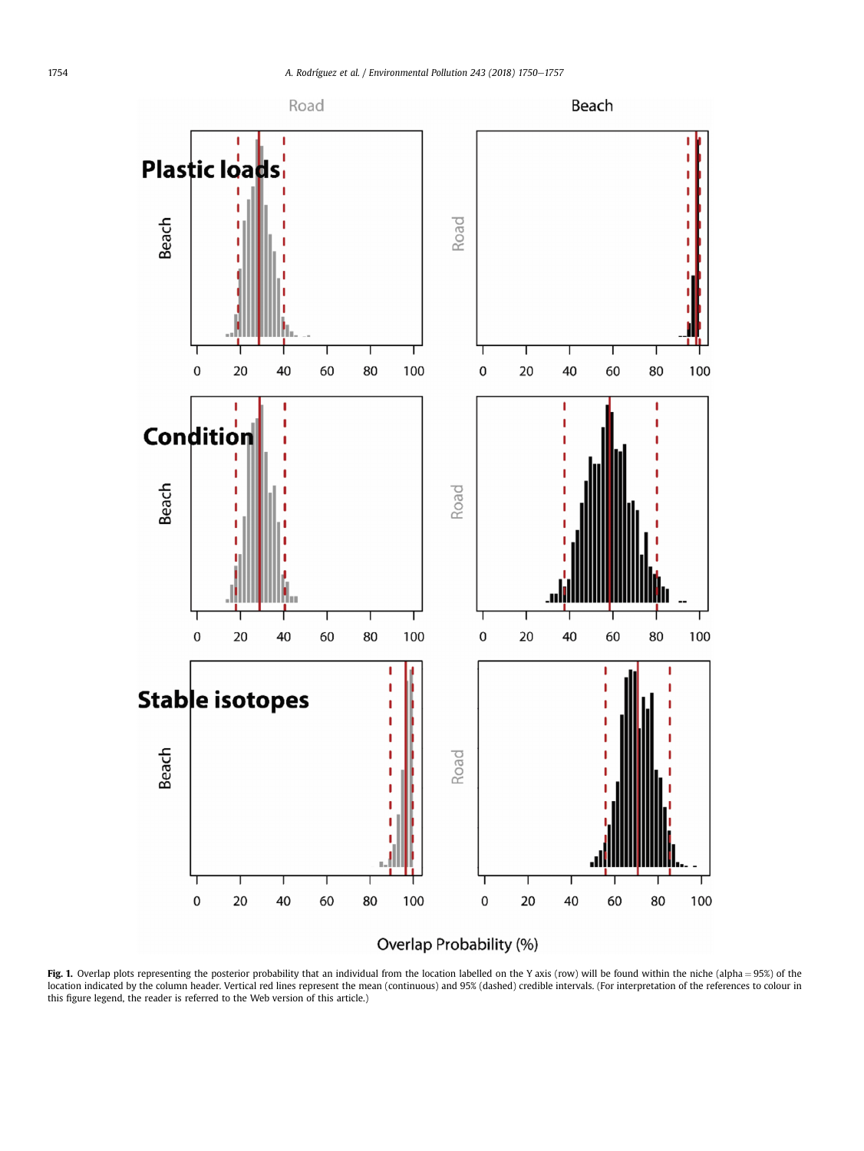<span id="page-4-0"></span>



Fig. 1. Overlap plots representing the posterior probability that an individual from the location labelled on the Y axis (row) will be found within the niche (alpha = 95%) of the location indicated by the column header. Vertical red lines represent the mean (continuous) and 95% (dashed) credible intervals. (For interpretation of the references to colour in this figure legend, the reader is referred to the Web version of this article.)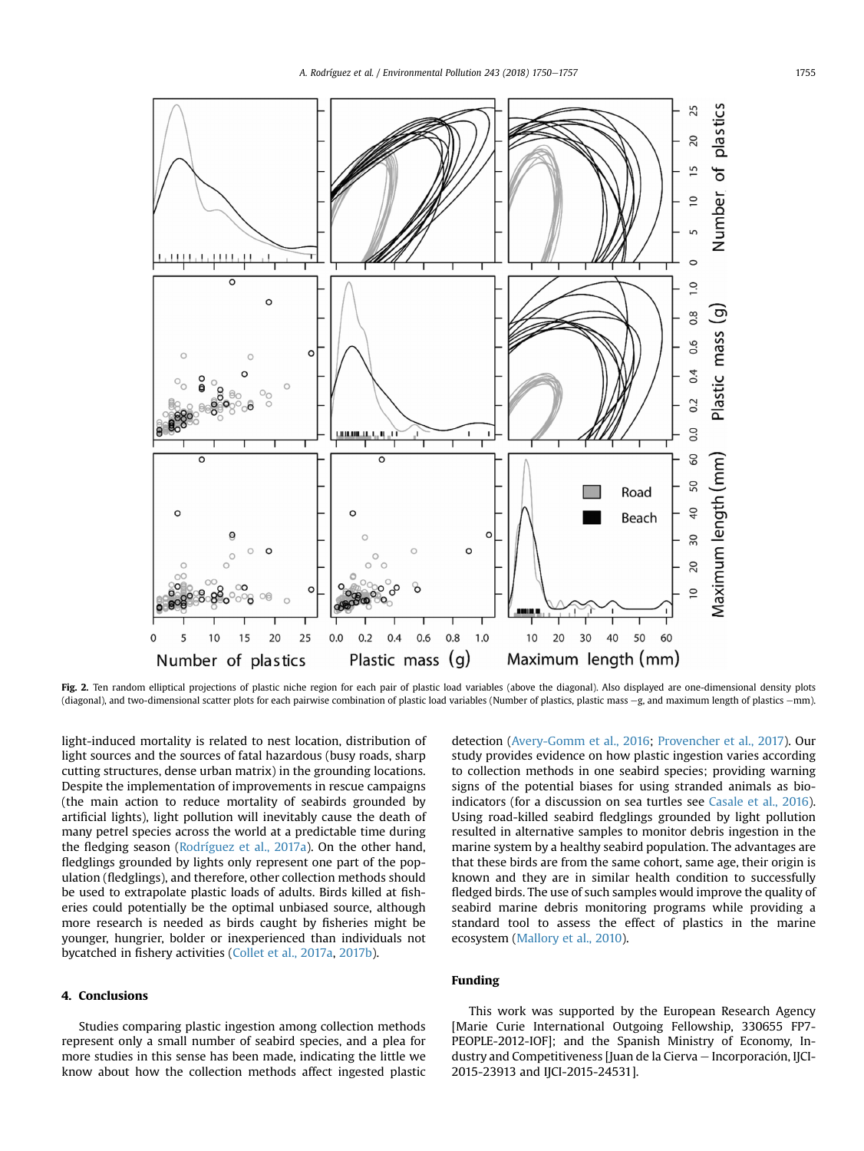<span id="page-5-0"></span>

Fig. 2. Ten random elliptical projections of plastic niche region for each pair of plastic load variables (above the diagonal). Also displayed are one-dimensional density plots (diagonal), and two-dimensional scatter plots for each pairwise combination of plastic load variables (Number of plastics, plastic mass -g, and maximum length of plastics --mm).

light-induced mortality is related to nest location, distribution of light sources and the sources of fatal hazardous (busy roads, sharp cutting structures, dense urban matrix) in the grounding locations. Despite the implementation of improvements in rescue campaigns (the main action to reduce mortality of seabirds grounded by artificial lights), light pollution will inevitably cause the death of many petrel species across the world at a predictable time during the fledging season ([Rodríguez et al., 2017a](#page-6-0)). On the other hand, fledglings grounded by lights only represent one part of the population (fledglings), and therefore, other collection methods should be used to extrapolate plastic loads of adults. Birds killed at fisheries could potentially be the optimal unbiased source, although more research is needed as birds caught by fisheries might be younger, hungrier, bolder or inexperienced than individuals not bycatched in fishery activities [\(Collet et al., 2017a,](#page-6-0) [2017b\)](#page-6-0).

## 4. Conclusions

Studies comparing plastic ingestion among collection methods represent only a small number of seabird species, and a plea for more studies in this sense has been made, indicating the little we know about how the collection methods affect ingested plastic detection ([Avery-Gomm et al., 2016;](#page-6-0) [Provencher et al., 2017\)](#page-6-0). Our study provides evidence on how plastic ingestion varies according to collection methods in one seabird species; providing warning signs of the potential biases for using stranded animals as bioindicators (for a discussion on sea turtles see [Casale et al., 2016\)](#page-6-0). Using road-killed seabird fledglings grounded by light pollution resulted in alternative samples to monitor debris ingestion in the marine system by a healthy seabird population. The advantages are that these birds are from the same cohort, same age, their origin is known and they are in similar health condition to successfully fledged birds. The use of such samples would improve the quality of seabird marine debris monitoring programs while providing a standard tool to assess the effect of plastics in the marine ecosystem [\(Mallory et al., 2010\)](#page-6-0).

## Funding

This work was supported by the European Research Agency [Marie Curie International Outgoing Fellowship, 330655 FP7- PEOPLE-2012-IOF]; and the Spanish Ministry of Economy, Industry and Competitiveness [Juan de la Cierva - Incorporación, IJCI-2015-23913 and IJCI-2015-24531].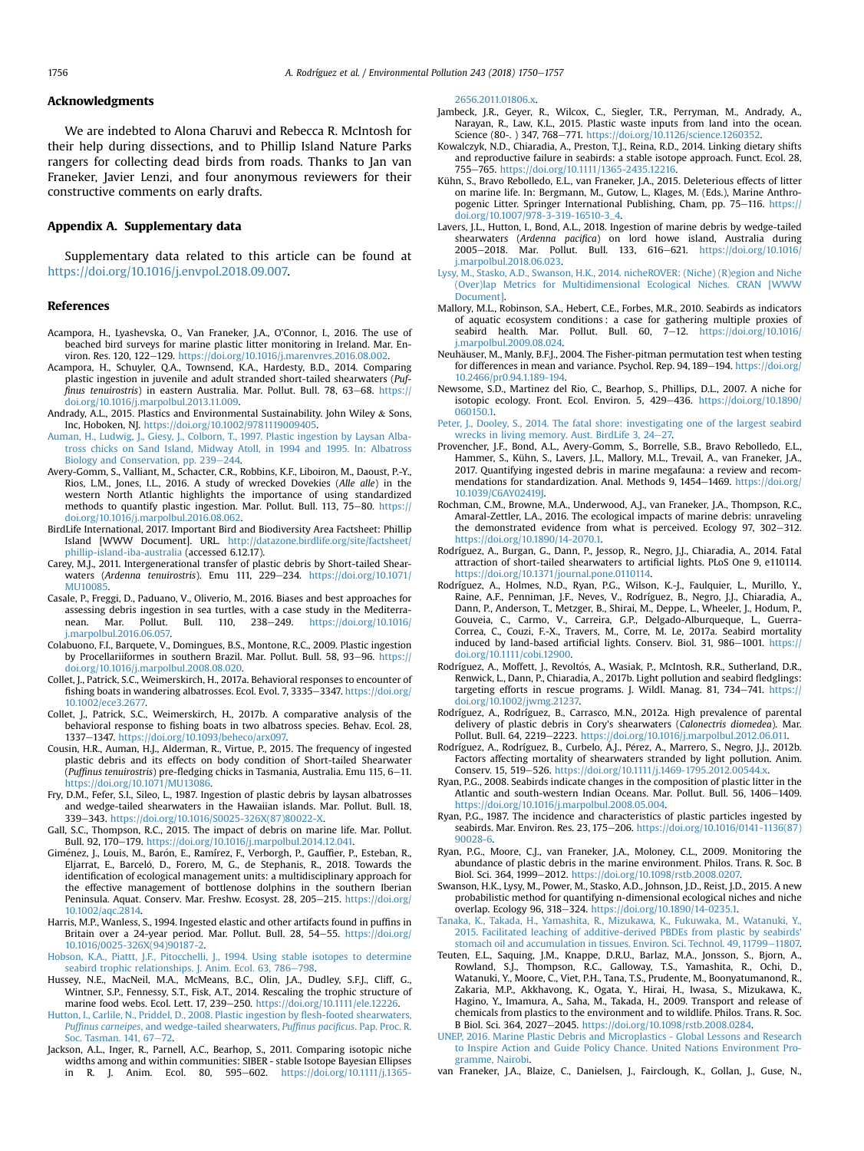#### <span id="page-6-0"></span>Acknowledgments

We are indebted to Alona Charuvi and Rebecca R. McIntosh for their help during dissections, and to Phillip Island Nature Parks rangers for collecting dead birds from roads. Thanks to Jan van Franeker, Javier Lenzi, and four anonymous reviewers for their constructive comments on early drafts.

#### Appendix A. Supplementary data

Supplementary data related to this article can be found at [https://doi.org/10.1016/j.envpol.2018.09.007.](https://doi.org/10.1016/j.envpol.2018.09.007)

#### References

- Acampora, H., Lyashevska, O., Van Franeker, J.A., O'Connor, I., 2016. The use of beached bird surveys for marine plastic litter monitoring in Ireland. Mar. Environ. Res. 120, 122-129. <https://doi.org/10.1016/j.marenvres.2016.08.002>.
- Acampora, H., Schuyler, Q.A., Townsend, K.A., Hardesty, B.D., 2014. Comparing plastic ingestion in juvenile and adult stranded short-tailed shearwaters (Puffinus tenuirostris) in eastern Australia. Mar. Pollut. Bull. 78, 63-68. [https://](https://doi.org/10.1016/j.marpolbul.2013.11.009) [doi.org/10.1016/j.marpolbul.2013.11.009](https://doi.org/10.1016/j.marpolbul.2013.11.009).
- Andrady, A.L., 2015. Plastics and Environmental Sustainability. John Wiley & Sons, Inc, Hoboken, NJ. <https://doi.org/10.1002/9781119009405>.
- [Auman, H., Ludwig, J., Giesy, J., Colborn, T., 1997. Plastic ingestion by Laysan Alba](http://refhub.elsevier.com/S0269-7491(18)32609-5/sref4)[tross chicks on Sand Island, Midway Atoll, in 1994 and 1995. In: Albatross](http://refhub.elsevier.com/S0269-7491(18)32609-5/sref4) [Biology and Conservation, pp. 239](http://refhub.elsevier.com/S0269-7491(18)32609-5/sref4)-[244.](http://refhub.elsevier.com/S0269-7491(18)32609-5/sref4)
- Avery-Gomm, S., Valliant, M., Schacter, C.R., Robbins, K.F., Liboiron, M., Daoust, P.-Y., Rios, L.M., Jones, I.L., 2016. A study of wrecked Dovekies (Alle alle) in the western North Atlantic highlights the importance of using standardized methods to quantify plastic ingestion. Mar. Pollut. Bull. 113, 75-80. [https://](https://doi.org/10.1016/j.marpolbul.2016.08.062) [doi.org/10.1016/j.marpolbul.2016.08.062.](https://doi.org/10.1016/j.marpolbul.2016.08.062)
- BirdLife International, 2017. Important Bird and Biodiversity Area Factsheet: Phillip Island [WWW Document]. URL. [http://datazone.birdlife.org/site/factsheet/](http://datazone.birdlife.org/site/factsheet/phillip-island-iba-australia) [phillip-island-iba-australia](http://datazone.birdlife.org/site/factsheet/phillip-island-iba-australia) (accessed 6.12.17).
- Carey, M.J., 2011. Intergenerational transfer of plastic debris by Short-tailed Shearwaters (Ardenna tenuirostris). Emu 111, 229-234. [https://doi.org/10.1071/](https://doi.org/10.1071/MU10085) [MU10085](https://doi.org/10.1071/MU10085).
- Casale, P., Freggi, D., Paduano, V., Oliverio, M., 2016. Biases and best approaches for assessing debris ingestion in sea turtles, with a case study in the Mediterra-<br>nean. Mar. Pollut. Bull. 110, 238–249. https://doi.org/10.1016/ nean. Mar. Pollut. Bull. 110, 238-249. [https://doi.org/10.1016/](https://doi.org/10.1016/j.marpolbul.2016.06.057) [j.marpolbul.2016.06.057.](https://doi.org/10.1016/j.marpolbul.2016.06.057)
- Colabuono, F.I., Barquete, V., Domingues, B.S., Montone, R.C., 2009. Plastic ingestion by Procellariiformes in southern Brazil. Mar. Pollut. Bull. 58, 93–96. [https://](https://doi.org/10.1016/j.marpolbul.2008.08.020) [doi.org/10.1016/j.marpolbul.2008.08.020.](https://doi.org/10.1016/j.marpolbul.2008.08.020)
- Collet, J., Patrick, S.C., Weimerskirch, H., 2017a. Behavioral responses to encounter of fishing boats in wandering albatrosses. Ecol. Evol. 7, 3335 $-$ 3347. [https://doi.org/](https://doi.org/10.1002/ece3.2677) [10.1002/ece3.2677.](https://doi.org/10.1002/ece3.2677)
- Collet, J., Patrick, S.C., Weimerskirch, H., 2017b. A comparative analysis of the behavioral response to fishing boats in two albatross species. Behav. Ecol. 28, 1337e1347. [https://doi.org/10.1093/beheco/arx097.](https://doi.org/10.1093/beheco/arx097)
- Cousin, H.R., Auman, H.J., Alderman, R., Virtue, P., 2015. The frequency of ingested plastic debris and its effects on body condition of Short-tailed Shearwater (Puffinus tenuirostris) pre-fledging chicks in Tasmania, Australia. Emu 115, 6-11. <https://doi.org/10.1071/MU13086>.
- Fry, D.M., Fefer, S.I., Sileo, L., 1987. Ingestion of plastic debris by laysan albatrosses and wedge-tailed shearwaters in the Hawaiian islands. Mar. Pollut. Bull. 18, 339e343. [https://doi.org/10.1016/S0025-326X\(87\)80022-X.](https://doi.org/10.1016/S0025-326X(87)80022-X)
- Gall, S.C., Thompson, R.C., 2015. The impact of debris on marine life. Mar. Pollut. Bull. 92, 170-179. [https://doi.org/10.1016/j.marpolbul.2014.12.041.](https://doi.org/10.1016/j.marpolbul.2014.12.041)
- Giménez, J., Louis, M., Barón, E., Ramírez, F., Verborgh, P., Gauffier, P., Esteban, R., Eljarrat, E., Barceló, D., Forero, M. G., de Stephanis, R., 2018. Towards the identification of ecological management units: a multidisciplinary approach for the effective management of bottlenose dolphins in the southern Iberian Peninsula. Aquat. Conserv. Mar. Freshw. Ecosyst. 28, 205-215. [https://doi.org/](https://doi.org/10.1002/aqc.2814) [10.1002/aqc.2814.](https://doi.org/10.1002/aqc.2814)
- Harris, M.P., Wanless, S., 1994. Ingested elastic and other artifacts found in puffins in Britain over a 24-year period. Mar. Pollut. Bull. 28, 54-55. [https://doi.org/](https://doi.org/10.1016/0025-326X(94)90187-2) [10.1016/0025-326X\(94\)90187-2.](https://doi.org/10.1016/0025-326X(94)90187-2)
- [Hobson, K.A., Piattt, J.F., Pitocchelli, J., 1994. Using stable isotopes to determine](http://refhub.elsevier.com/S0269-7491(18)32609-5/sref17) [seabird trophic relationships. J. Anim. Ecol. 63, 786](http://refhub.elsevier.com/S0269-7491(18)32609-5/sref17)-[798.](http://refhub.elsevier.com/S0269-7491(18)32609-5/sref17)
- Hussey, N.E., MacNeil, M.A., McMeans, B.C., Olin, J.A., Dudley, S.F.J., Cliff, G., Wintner, S.P., Fennessy, S.T., Fisk, A.T., 2014. Rescaling the trophic structure of marine food webs. Ecol. Lett. 17, 239-250. <https://doi.org/10.1111/ele.12226>.
- [Hutton, I., Carlile, N., Priddel, D., 2008. Plastic ingestion by](http://refhub.elsevier.com/S0269-7491(18)32609-5/sref19) flesh-footed shearwaters, Puffinus carneipes[, and wedge-tailed shearwaters,](http://refhub.elsevier.com/S0269-7491(18)32609-5/sref19) Puffinus pacificus. Pap. Proc. R. [Soc. Tasman. 141, 67](http://refhub.elsevier.com/S0269-7491(18)32609-5/sref19)-[72.](http://refhub.elsevier.com/S0269-7491(18)32609-5/sref19)
- Jackson, A.L., Inger, R., Parnell, A.C., Bearhop, S., 2011. Comparing isotopic niche widths among and within communities: SIBER - stable Isotope Bayesian Ellipses in R. J. Anim. Ecol. 80, 595-602. [https://doi.org/10.1111/j.1365-](https://doi.org/10.1111/j.1365-2656.2011.01806.x)

[2656.2011.01806.x](https://doi.org/10.1111/j.1365-2656.2011.01806.x).

- Jambeck, J.R., Geyer, R., Wilcox, C., Siegler, T.R., Perryman, M., Andrady, A., Narayan, R., Law, K.L., 2015. Plastic waste inputs from land into the ocean. Science (80-. ) 347, 768-771. <https://doi.org/10.1126/science.1260352>.
- Kowalczyk, N.D., Chiaradia, A., Preston, T.J., Reina, R.D., 2014. Linking dietary shifts and reproductive failure in seabirds: a stable isotope approach. Funct. Ecol. 28, 755e765. [https://doi.org/10.1111/1365-2435.12216.](https://doi.org/10.1111/1365-2435.12216)
- Kühn, S., Bravo Rebolledo, E.L., van Franeker, J.A., 2015. Deleterious effects of litter on marine life. In: Bergmann, M., Gutow, L., Klages, M. (Eds.), Marine Anthropogenic Litter. Springer International Publishing, Cham, pp. 75-116. [https://](https://doi.org/10.1007/978-3-319-16510-3_4) [doi.org/10.1007/978-3-319-16510-3\\_4.](https://doi.org/10.1007/978-3-319-16510-3_4)
- Lavers, J.L., Hutton, I., Bond, A.L., 2018. Ingestion of marine debris by wedge-tailed shearwaters (Ardenna pacifica) on lord howe island, Australia during 2005-2018. Mar. Pollut. Bull. 133, 616-621. [https://doi.org/10.1016/](https://doi.org/10.1016/j.marpolbul.2018.06.023) [j.marpolbul.2018.06.023.](https://doi.org/10.1016/j.marpolbul.2018.06.023)
- [Lysy, M., Stasko, A.D., Swanson, H.K., 2014. nicheROVER: \(Niche\) \(R\)egion and Niche](http://refhub.elsevier.com/S0269-7491(18)32609-5/sref25) [\(Over\)lap Metrics for Multidimensional Ecological Niches. CRAN \[WWW](http://refhub.elsevier.com/S0269-7491(18)32609-5/sref25) [Document\].](http://refhub.elsevier.com/S0269-7491(18)32609-5/sref25)
- Mallory, M.L., Robinson, S.A., Hebert, C.E., Forbes, M.R., 2010. Seabirds as indicators of aquatic ecosystem conditions : a case for gathering multiple proxies of seabird health. Mar. Pollut. Bull. 60, 7-12. [https://doi.org/10.1016/](https://doi.org/10.1016/j.marpolbul.2009.08.024) [j.marpolbul.2009.08.024.](https://doi.org/10.1016/j.marpolbul.2009.08.024)
- Neuhäuser, M., Manly, B.F.J., 2004. The Fisher-pitman permutation test when testing for differences in mean and variance. Psychol. Rep. 94,  $189-194$ . [https://doi.org/](https://doi.org/10.2466/pr0.94.1.189-194) [10.2466/pr0.94.1.189-194](https://doi.org/10.2466/pr0.94.1.189-194).
- Newsome, S.D., Martinez del Rio, C., Bearhop, S., Phillips, D.L., 2007. A niche for isotopic ecology. Front. Ecol. Environ. 5, 429-436. [https://doi.org/10.1890/](https://doi.org/10.1890/060150.1) [060150.1.](https://doi.org/10.1890/060150.1)
- [Peter, J., Dooley, S., 2014. The fatal shore: investigating one of the largest seabird](http://refhub.elsevier.com/S0269-7491(18)32609-5/sref29) [wrecks in living memory. Aust. BirdLife 3, 24](http://refhub.elsevier.com/S0269-7491(18)32609-5/sref29)-[27.](http://refhub.elsevier.com/S0269-7491(18)32609-5/sref29)
- Provencher, J.F., Bond, A.L., Avery-Gomm, S., Borrelle, S.B., Bravo Rebolledo, E.L., Hammer, S., Kühn, S., Lavers, J.L., Mallory, M.L., Trevail, A., van Franeker, J.A., 2017. Quantifying ingested debris in marine megafauna: a review and recommendations for standardization. Anal. Methods 9, 1454-1469. [https://doi.org/](https://doi.org/10.1039/C6AY02419J) [10.1039/C6AY02419J.](https://doi.org/10.1039/C6AY02419J)
- Rochman, C.M., Browne, M.A., Underwood, A.J., van Franeker, J.A., Thompson, R.C., Amaral-Zettler, L.A., 2016. The ecological impacts of marine debris: unraveling the demonstrated evidence from what is perceived. Ecology 97, 302-312. [https://doi.org/10.1890/14-2070.1.](https://doi.org/10.1890/14-2070.1)
- Rodríguez, A., Burgan, G., Dann, P., Jessop, R., Negro, J.J., Chiaradia, A., 2014. Fatal attraction of short-tailed shearwaters to artificial lights. PLoS One 9, e110114. <https://doi.org/10.1371/journal.pone.0110114>.
- Rodríguez, A., Holmes, N.D., Ryan, P.G., Wilson, K.-J., Faulquier, L., Murillo, Y., Raine, A.F., Penniman, J.F., Neves, V., Rodríguez, B., Negro, J.J., Chiaradia, A., Dann, P., Anderson, T., Metzger, B., Shirai, M., Deppe, L., Wheeler, J., Hodum, P., Gouveia, C., Carmo, V., Carreira, G.P., Delgado-Alburqueque, L., Guerra-Correa, C., Couzi, F.-X., Travers, M., Corre, M. Le, 2017a. Seabird mortality induced by land-based artificial lights. Conserv. Biol. 31, 986-1001. https:/ [doi.org/10.1111/cobi.12900](https://doi.org/10.1111/cobi.12900).
- Rodríguez, A., Moffett, J., Revoltós, A., Wasiak, P., McIntosh, R.R., Sutherland, D.R., Renwick, L., Dann, P., Chiaradia, A., 2017b. Light pollution and seabird fledglings: targeting efforts in rescue programs. J. Wildl. Manag. 81, 734-741. [https://](https://doi.org/10.1002/jwmg.21237) [doi.org/10.1002/jwmg.21237.](https://doi.org/10.1002/jwmg.21237)
- Rodríguez, A., Rodríguez, B., Carrasco, M.N., 2012a. High prevalence of parental delivery of plastic debris in Cory's shearwaters (Calonectris diomedea). Mar. Pollut. Bull. 64, 2219–2223. [https://doi.org/10.1016/j.marpolbul.2012.06.011.](https://doi.org/10.1016/j.marpolbul.2012.06.011)
- Rodríguez, A., Rodríguez, B., Curbelo, Á.J., Pérez, A., Marrero, S., Negro, J.J., 2012b. Factors affecting mortality of shearwaters stranded by light pollution. Anim. Conserv. 15, 519-526. <https://doi.org/10.1111/j.1469-1795.2012.00544.x>.
- Ryan, P.G., 2008. Seabirds indicate changes in the composition of plastic litter in the Atlantic and south-western Indian Oceans. Mar. Pollut. Bull. 56, 1406-1409. <https://doi.org/10.1016/j.marpolbul.2008.05.004>.
- Ryan, P.G., 1987. The incidence and characteristics of plastic particles ingested by seabirds. Mar. Environ. Res. 23, 175-206. [https://doi.org/10.1016/0141-1136\(87\)](https://doi.org/10.1016/0141-1136(87)90028-6) [90028-6](https://doi.org/10.1016/0141-1136(87)90028-6).
- Ryan, P.G., Moore, C.J., van Franeker, J.A., Moloney, C.L., 2009. Monitoring the abundance of plastic debris in the marine environment. Philos. Trans. R. Soc. B Biol. Sci. 364, 1999-2012. https://doi.org/10.1098/rstb.2008.0207
- Swanson, H.K., Lysy, M., Power, M., Stasko, A.D., Johnson, J.D., Reist, J.D., 2015. A new probabilistic method for quantifying n-dimensional ecological niches and niche overlap. Ecology 96, 318-324. [https://doi.org/10.1890/14-0235.1.](https://doi.org/10.1890/14-0235.1)
- [Tanaka, K., Takada, H., Yamashita, R., Mizukawa, K., Fukuwaka, M., Watanuki, Y.,](http://refhub.elsevier.com/S0269-7491(18)32609-5/sref41) [2015. Facilitated leaching of additive-derived PBDEs from plastic by seabirds'](http://refhub.elsevier.com/S0269-7491(18)32609-5/sref41) [stomach oil and accumulation in tissues. Environ. Sci. Technol. 49, 11799](http://refhub.elsevier.com/S0269-7491(18)32609-5/sref41)-[11807.](http://refhub.elsevier.com/S0269-7491(18)32609-5/sref41)
- Teuten, E.L., Saquing, J.M., Knappe, D.R.U., Barlaz, M.A., Jonsson, S., Bjorn, A., Rowland, S.J., Thompson, R.C., Galloway, T.S., Yamashita, R., Ochi, D., Watanuki, Y., Moore, C., Viet, P.H., Tana, T.S., Prudente, M., Boonyatumanond, R., Zakaria, M.P., Akkhavong, K., Ogata, Y., Hirai, H., Iwasa, S., Mizukawa, K., Hagino, Y., Imamura, A., Saha, M., Takada, H., 2009. Transport and release of chemicals from plastics to the environment and to wildlife. Philos. Trans. R. Soc. B Biol. Sci. 364, 2027-2045. <https://doi.org/10.1098/rstb.2008.0284>.
- [UNEP, 2016. Marine Plastic Debris and Microplastics Global Lessons and Research](http://refhub.elsevier.com/S0269-7491(18)32609-5/sref43) [to Inspire Action and Guide Policy Chance. United Nations Environment Pro](http://refhub.elsevier.com/S0269-7491(18)32609-5/sref43)[gramme, Nairobi.](http://refhub.elsevier.com/S0269-7491(18)32609-5/sref43)
- van Franeker, J.A., Blaize, C., Danielsen, J., Fairclough, K., Gollan, J., Guse, N.,